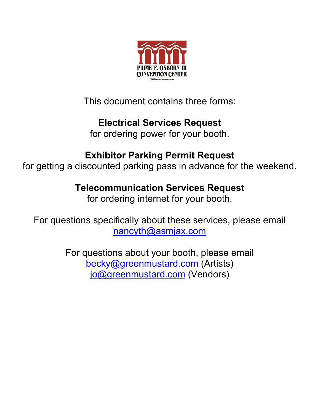

This document contains three forms:

### **Electrical Services Request**

for ordering power for your booth.

### **Exhibitor Parking Permit Request**

for getting a discounted parking pass in advance for the weekend.

## **Telecommunication Services Request**

for ordering internet for your booth.

For questions specifically about these services, please email nancyth@asmjax.com

> For questions about your booth, please email becky@greenmustard.com (Artists) jo@greenmustard.com (Vendors)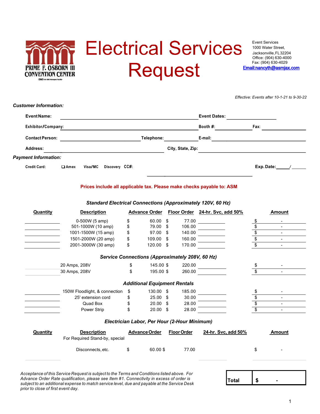

1000 Water Street, Jacksonville,FL32204 Office: (904) 630-4000 Fax: (904) 630-4029 Email:nancyth@asmjax.com

*Effective: Events after 10-1-21 to 9-30-22*

| <b>EventName:</b>           |                                                                       |                                                 |                    | <b>Event Dates:</b>             |                         |           |
|-----------------------------|-----------------------------------------------------------------------|-------------------------------------------------|--------------------|---------------------------------|-------------------------|-----------|
| Exhibitor/Company:          |                                                                       |                                                 |                    | Booth #:                        | Fax:                    |           |
| <b>Contact Person:</b>      |                                                                       | Telephone:                                      |                    | E-mail:                         |                         |           |
| <b>Address:</b>             |                                                                       |                                                 | City, State, Zip:  |                                 |                         |           |
| <b>Payment Information:</b> |                                                                       |                                                 |                    |                                 |                         |           |
| <b>Credit Card:</b>         | Visa/MC<br>Discovery CC#:<br>$\square$ Amex                           |                                                 |                    |                                 |                         | Exp.Date: |
|                             | Prices include all applicable tax. Please make checks payable to: ASM |                                                 |                    |                                 |                         |           |
|                             | <b>Standard Electrical Connections (Approximately 120V, 60 Hz)</b>    |                                                 |                    |                                 |                         |           |
| <b>Quantity</b>             | <b>Description</b>                                                    | <b>Advance Order</b>                            |                    | Floor Order 24-hr. Svc, add 50% |                         | Amount    |
|                             | 0-500W (5 amp)                                                        | \$<br>$60.00$ \$                                | 77.00              |                                 | \$                      |           |
|                             | 501-1000W (10 amp)                                                    | \$<br>79.00 \$                                  | 106.00             |                                 | \$                      |           |
|                             | 1001-1500W (15 amp)                                                   | \$<br>$97.00$ \$                                | 140.00             |                                 | \$                      |           |
|                             | 1501-2000W (20 amp)                                                   | \$<br>109.00 \$                                 | 160.00             |                                 | \$                      |           |
|                             | 2001-3000W (30 amp)                                                   | \$<br>$120.00$ \$                               | 170.00             |                                 | \$                      |           |
|                             |                                                                       | Service Connections (Approximately 208V, 60 Hz) |                    |                                 |                         |           |
|                             | 20 Amps, 208V                                                         | \$<br>145.00 \$                                 | 220.00             |                                 | \$                      |           |
|                             | 30 Amps, 208V                                                         | \$<br>195.00 \$                                 | 260.00             |                                 | $\overline{\mathbf{s}}$ |           |
|                             |                                                                       | <b>Additional Equipment Rentals</b>             |                    |                                 |                         |           |
|                             | 150W Floodlight, & connection                                         | \$<br>130.00 \$                                 | 185.00             |                                 | \$                      |           |
|                             | 25' extension cord                                                    | \$<br>$25.00$ \$                                | 30.00              |                                 |                         |           |
|                             | Quad Box                                                              | \$<br>$20.00$ \$                                | 28.00              |                                 | $\frac{1}{\sqrt{2}}$    |           |
|                             | Power Strip                                                           | \$<br>$20.00$ \$                                | 28.00              |                                 |                         |           |
|                             |                                                                       | Electrician Labor, Per Hour (2-Hour Minimum)    |                    |                                 |                         |           |
| Quantity                    | <b>Description</b>                                                    | <b>Advance Order</b>                            | <b>Floor Order</b> | 24-hr. Svc. add 50%             |                         | Amount    |
|                             | For Required Stand-by, special                                        |                                                 |                    |                                 |                         |           |
|                             | Disconnects, etc.                                                     | \$<br>60.00\$                                   | 77.00              |                                 | \$                      |           |
|                             |                                                                       |                                                 |                    |                                 |                         |           |
|                             |                                                                       |                                                 |                    |                                 |                         |           |

*Advance Order Rate qualification, please see Item #1. Connectivity in excess of order is subject to an additional expense to match service level, due and payable at the Service Desk prior to close of first event day.*

1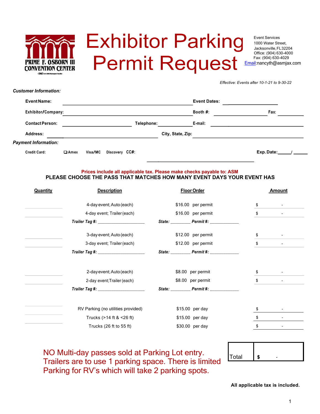

*Customer Information:*

# **Exhibitor Parking Permit Request**

Event Services 1000 Water Street, Jacksonville,FL32204 Office: (904) 630-4000 Fax: (904) 630-4029 Email:nancyth@asmjax.com

*Effective: Events after 10-1-21 to 9-30-22*

| Event Name:            |                |         |                |            |                   | <b>Event Dates:</b> |           |  |
|------------------------|----------------|---------|----------------|------------|-------------------|---------------------|-----------|--|
|                        |                |         |                |            |                   |                     |           |  |
| Exhibitor/Company:     |                |         |                |            |                   | Booth $#$ :         | Fax:      |  |
| <b>Contact Person:</b> |                |         |                | Telephone: |                   | E-mail:             |           |  |
| Address:               |                |         |                |            | City, State, Zip: |                     |           |  |
| Payment Information:   |                |         |                |            |                   |                     |           |  |
| <b>Credit Card:</b>    | $\square$ Amex | Visa/MC | Discovery CC#: |            |                   |                     | Exp.Date: |  |

### **Prices include all applicable tax. Please make checks payable to: ASM PLEASE CHOOSE THE PASS THAT MATCHES HOW MANY EVENT DAYS YOUR EVENT HAS**

| <b>Quantity</b> | <b>Description</b>                    | <b>Floor Order</b> |    | <b>Amount</b> |  |
|-----------------|---------------------------------------|--------------------|----|---------------|--|
|                 | 4-day event; Auto (each)              | \$16.00 per permit | \$ | ۰.            |  |
|                 | 4-day event; Trailer (each)           | \$16.00 per permit | \$ |               |  |
|                 | Trailer Tag #: ______________________ |                    |    |               |  |
|                 | 3-day event; Auto (each)              | \$12.00 per permit | \$ |               |  |
|                 | 3-day event; Trailer (each)           | \$12.00 per permit | \$ |               |  |
|                 |                                       |                    |    |               |  |
|                 | 2-day event; Auto (each)              | \$8.00 per permit  |    |               |  |
|                 | 2-day event; Trailer (each)           | \$8.00 per permit  | \$ |               |  |
|                 |                                       |                    |    |               |  |
|                 | RV Parking (no utilities provided)    | \$15.00 per day    |    |               |  |
|                 | Trucks $($ >14 ft & <26 ft)           | \$15.00 per day    |    |               |  |
|                 | Trucks (26 ft to 55 ft)               | \$30.00 per day    | S  |               |  |
|                 |                                       |                    |    |               |  |

NO Multi-day passes sold at Parking Lot entry. Trailers are to use 1 parking space. There is limited Parking for RV's which will take 2 parking spots.

| Total |  |
|-------|--|

**All applicable tax is included.**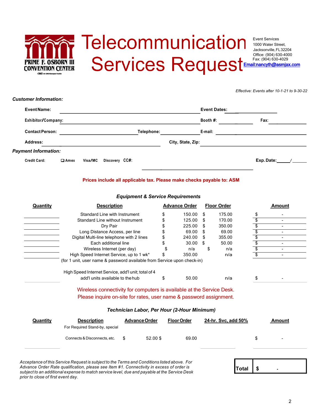## Telecommunication ENTION CENTER

*Customer Information:*

*Effective: Events after 10-1-21 to 9-30-22*

| Event Name:                 |             |         |                |            |                   | <b>Event Dates:</b> |           |
|-----------------------------|-------------|---------|----------------|------------|-------------------|---------------------|-----------|
| Exhibitor/Company:          |             |         |                |            |                   | Booth $#$ :         | Fax:      |
| <b>Contact Person:</b>      |             |         |                | Telephone: |                   | E-mail:             |           |
| <b>Address:</b>             |             |         |                |            | City, State, Zip: |                     |           |
| <b>Payment Information:</b> |             |         |                |            |                   |                     |           |
| <b>Credit Card:</b>         | $\Box$ Amex | Visa/MC | Discovery CC#: |            |                   |                     | Exp.Date: |

#### **Prices include all applicable tax. Please make checks payable to: ASM**

#### *Equipment & Service Requirements*

| <b>Quantity</b> | <b>Description</b>                                                      |                                             | <b>Advance Order</b> |     | <b>Floor Order</b>  | Amount                         |
|-----------------|-------------------------------------------------------------------------|---------------------------------------------|----------------------|-----|---------------------|--------------------------------|
|                 | Standard Line with Instrument                                           |                                             | 150.00               | \$  | 175.00              | \$                             |
|                 | Standard Line without Instrument                                        |                                             | 125.00               | \$. | 170.00              | \$                             |
|                 | Dry Pair                                                                |                                             | 225.00               | \$. | 350.00              | \$                             |
|                 | Long Distance Access, per line                                          |                                             | \$<br>69.00          | \$  | 69.00               | \$<br>٠                        |
|                 | Digital Multi-line telephone with 2 lines                               |                                             | \$<br>240.00         | \$  | 355.00              | \$                             |
|                 | Each additional line                                                    |                                             | \$<br>30.00          | \$  | 50.00               | \$                             |
|                 | Wireless Internet (per day)                                             |                                             | n/a                  | \$  | n/a                 | \$<br>$\overline{\phantom{a}}$ |
|                 | High Speed Internet Service, up to 1 wk*                                |                                             | 350.00               |     | n/a                 | \$                             |
|                 | (for 1 unit, user name & password available from Service upon check-in) |                                             |                      |     |                     |                                |
|                 | High Speed Internet Service, add'I unit; total of 4                     |                                             |                      |     |                     |                                |
|                 | add'l units available to the hub                                        |                                             |                      |     |                     |                                |
|                 |                                                                         |                                             | \$<br>50.00          |     | n/a                 | \$                             |
|                 | Wireless connectivity for computers is available at the Service Desk.   |                                             |                      |     |                     |                                |
|                 | Please inquire on-site for rates, user name & password assignment.      |                                             |                      |     |                     |                                |
|                 |                                                                         | Technician Labor, Per Hour (2-Hour Minimum) |                      |     |                     |                                |
| <b>Quantity</b> | <b>Description</b><br>For Required Stand-by, special                    | <b>Advance Order</b>                        | <b>Floor Order</b>   |     | 24-hr. Svc, add 50% | Amount                         |

*Acceptance of this Service Request is subject to the Terms and Conditions listed above. For Advance Order Rate qualification, please see Item #1. Connectivity in excess of order is subject to an additional expense to match service level, due and payable at the Service Desk prior to close of first event day.*

| I<br>ntal<br>۰ |
|----------------|
|----------------|